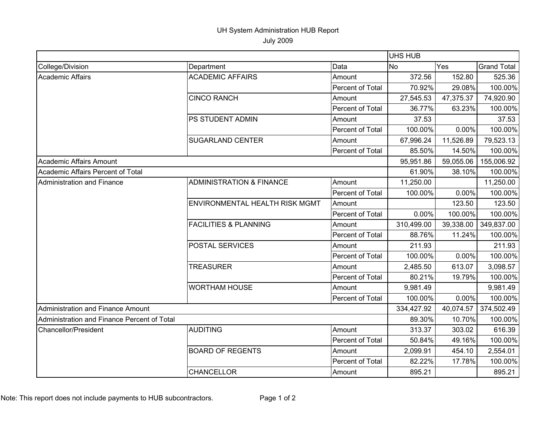## UH System Administration HUB Report

July 2009

|                                             |                                     |                  | UHS HUB    |           |                    |
|---------------------------------------------|-------------------------------------|------------------|------------|-----------|--------------------|
| College/Division                            | Department                          | Data             | <b>No</b>  | Yes       | <b>Grand Total</b> |
| <b>Academic Affairs</b>                     | <b>ACADEMIC AFFAIRS</b>             | Amount           | 372.56     | 152.80    | 525.36             |
|                                             |                                     | Percent of Total | 70.92%     | 29.08%    | 100.00%            |
|                                             | <b>CINCO RANCH</b>                  | Amount           | 27,545.53  | 47,375.37 | 74,920.90          |
|                                             |                                     | Percent of Total | 36.77%     | 63.23%    | 100.00%            |
|                                             | PS STUDENT ADMIN                    | Amount           | 37.53      |           | 37.53              |
|                                             |                                     | Percent of Total | 100.00%    | 0.00%     | 100.00%            |
|                                             | <b>SUGARLAND CENTER</b>             | Amount           | 67,996.24  | 11,526.89 | 79,523.13          |
|                                             |                                     | Percent of Total | 85.50%     | 14.50%    | 100.00%            |
| Academic Affairs Amount                     |                                     |                  | 95,951.86  | 59,055.06 | 155,006.92         |
| Academic Affairs Percent of Total           |                                     |                  | 61.90%     | 38.10%    | 100.00%            |
| <b>Administration and Finance</b>           | <b>ADMINISTRATION &amp; FINANCE</b> | Amount           | 11,250.00  |           | 11,250.00          |
|                                             |                                     | Percent of Total | 100.00%    | 0.00%     | 100.00%            |
|                                             | ENVIRONMENTAL HEALTH RISK MGMT      | Amount           |            | 123.50    | 123.50             |
|                                             |                                     | Percent of Total | 0.00%      | 100.00%   | 100.00%            |
|                                             | <b>FACILITIES &amp; PLANNING</b>    | Amount           | 310,499.00 | 39,338.00 | 349,837.00         |
|                                             |                                     | Percent of Total | 88.76%     | 11.24%    | 100.00%            |
|                                             | POSTAL SERVICES                     | Amount           | 211.93     |           | 211.93             |
|                                             |                                     | Percent of Total | 100.00%    | 0.00%     | 100.00%            |
|                                             | <b>TREASURER</b>                    | Amount           | 2,485.50   | 613.07    | 3,098.57           |
|                                             |                                     | Percent of Total | 80.21%     | 19.79%    | 100.00%            |
|                                             | <b>WORTHAM HOUSE</b>                | Amount           | 9,981.49   |           | 9,981.49           |
|                                             |                                     | Percent of Total | 100.00%    | 0.00%     | 100.00%            |
| Administration and Finance Amount           |                                     |                  | 334,427.92 | 40,074.57 | 374,502.49         |
| Administration and Finance Percent of Total |                                     |                  | 89.30%     | 10.70%    | 100.00%            |
| Chancellor/President                        | <b>AUDITING</b>                     | Amount           | 313.37     | 303.02    | 616.39             |
|                                             |                                     | Percent of Total | 50.84%     | 49.16%    | 100.00%            |
|                                             | <b>BOARD OF REGENTS</b>             | Amount           | 2,099.91   | 454.10    | 2,554.01           |
|                                             |                                     | Percent of Total | 82.22%     | 17.78%    | 100.00%            |
|                                             | <b>CHANCELLOR</b>                   | Amount           | 895.21     |           | 895.21             |